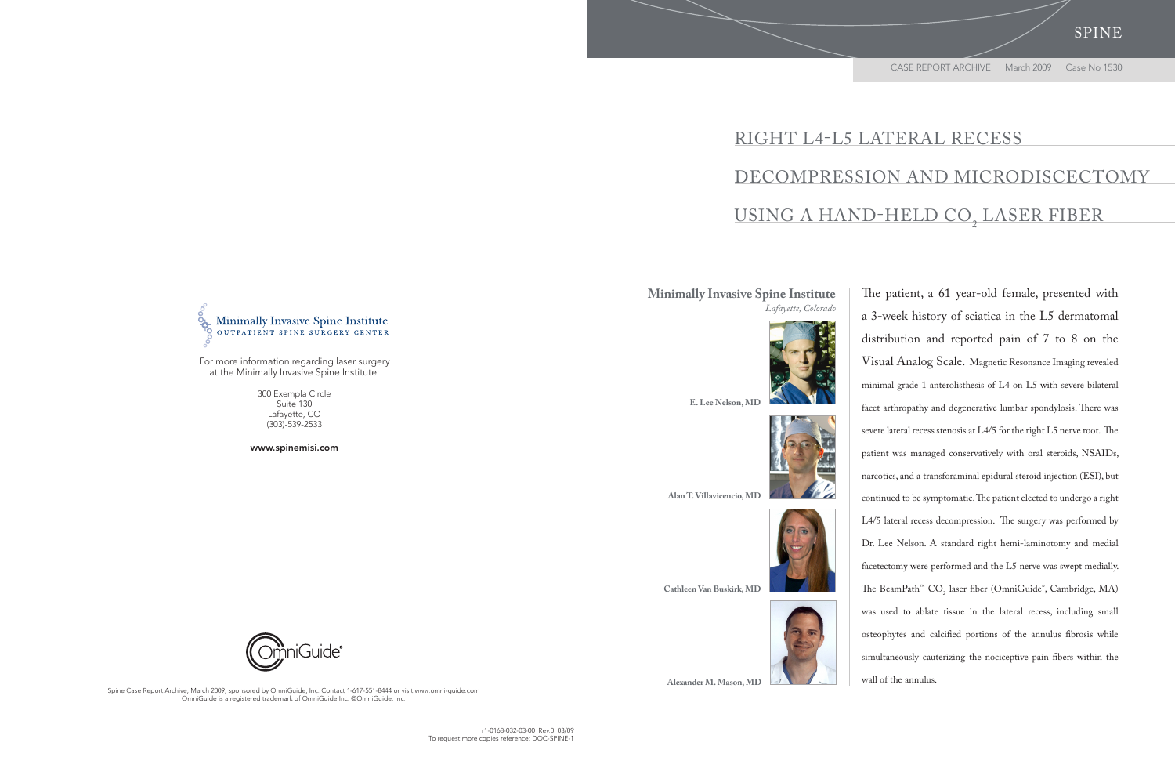Spine Case Report Archive, March 2009, sponsored by OmniGuide, Inc. Contact 1-617-551-8444 or visit www.omni-guide.com OmniGuide is a registered trademark of OmniGuide Inc. ©OmniGuide, Inc.

## Right L4-L5 Lateral Recess Decompression and Microdiscectomy USING A HAND-HELD CO<sub>2</sub> LASER FIBER

Spine

The patient, a 61 year-old female, presented with a 3-week history of sciatica in the L5 dermatomal distribution and reported pain of 7 to 8 on the Visual Analog Scale. Magnetic Resonance Imaging revealed minimal grade 1 anterolisthesis of L4 on L5 with severe bilateral facet arthropathy and degenerative lumbar spondylosis. There was severe lateral recess stenosis at L4/5 for the right L5 nerve root. The patient was managed conservatively with oral steroids, NSAIDs, narcotics, and a transforaminal epidural steroid injection (ESI), but continued to be symptomatic. The patient elected to undergo a right L4/5 lateral recess decompression. The surgery was performed by Dr. Lee Nelson. A standard right hemi-laminotomy and medial facetectomy were performed and the L5 nerve was swept medially. The BeamPath<sup>™</sup> CO<sub>2</sub> laser fiber (OmniGuide®, Cambridge, MA) was used to ablate tissue in the lateral recess, including small osteophytes and calcified portions of the annulus fibrosis while simultaneously cauterizing the nociceptive pain fibers within the wall of the annulus.

## **Minimally Invasive Spine Institute** *Lafayette, Colorado*



**E. Lee Nelson, MD**



**Alan T. Villavicencio, MD**



**Cathleen Van Buskirk, MD** 





 **Alexander M. Mason, MD**



For more information regarding laser surgery at the Minimally Invasive Spine Institute:

> 300 Exempla Circle Suite 130 Lafayette, CO (303)-539-2533

www.spinemisi.com